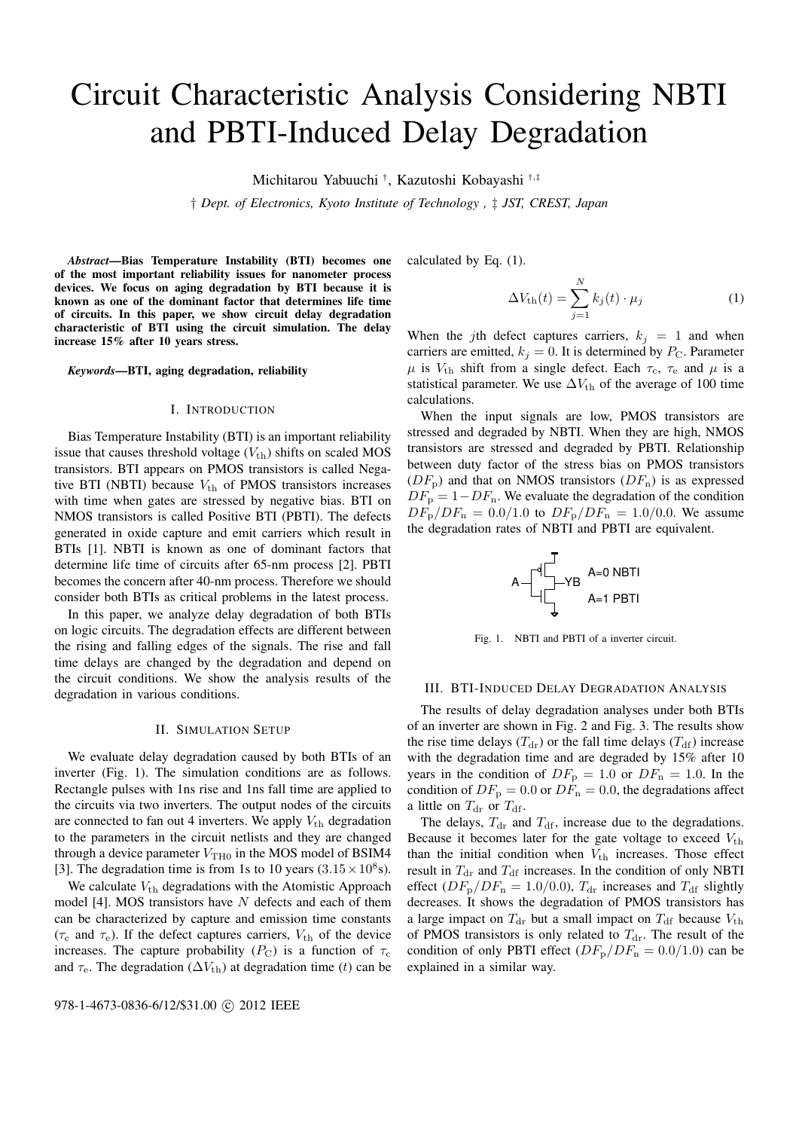# Circuit Characteristic Analysis Considering NBTI and PBTI-Induced Delay Degradation

Michitarou Yabuuchi *†* , Kazutoshi Kobayashi *†,‡*

*† Dept. of Electronics, Kyoto Institute of Technology , ‡ JST, CREST, Japan*

*Abstract*—Bias Temperature Instability (BTI) becomes one of the most important reliability issues for nanometer process devices. We focus on aging degradation by BTI because it is known as one of the dominant factor that determines life time of circuits. In this paper, we show circuit delay degradation characteristic of BTI using the circuit simulation. The delay increase 15% after 10 years stress.

*Keywords*—BTI, aging degradation, reliability

#### I. INTRODUCTION

Bias Temperature Instability (BTI) is an important reliability issue that causes threshold voltage  $(V_{\text{th}})$  shifts on scaled MOS transistors. BTI appears on PMOS transistors is called Negative BTI (NBTI) because  $V_{\text{th}}$  of PMOS transistors increases with time when gates are stressed by negative bias. BTI on NMOS transistors is called Positive BTI (PBTI). The defects generated in oxide capture and emit carriers which result in BTIs [1]. NBTI is known as one of dominant factors that determine life time of circuits after 65-nm process [2]. PBTI becomes the concern after 40-nm process. Therefore we should consider both BTIs as critical problems in the latest process.

In this paper, we analyze delay degradation of both BTIs on logic circuits. The degradation effects are different between the rising and falling edges of the signals. The rise and fall time delays are changed by the degradation and depend on the circuit conditions. We show the analysis results of the degradation in various conditions.

## II. SIMULATION SETUP

We evaluate delay degradation caused by both BTIs of an inverter (Fig. 1). The simulation conditions are as follows. Rectangle pulses with 1ns rise and 1ns fall time are applied to the circuits via two inverters. The output nodes of the circuits are connected to fan out 4 inverters. We apply  $V_{\text{th}}$  degradation to the parameters in the circuit netlists and they are changed through a device parameter  $V_{\text{TH0}}$  in the MOS model of BSIM4 [3]. The degradation time is from 1s to 10 years  $(3.15 \times 10^8 s)$ .

We calculate  $V_{th}$  degradations with the Atomistic Approach model [4]. MOS transistors have *N* defects and each of them can be characterized by capture and emission time constants  $(\tau_c$  and  $\tau_e$ ). If the defect captures carriers,  $V_{th}$  of the device increases. The capture probability  $(P_C)$  is a function of  $\tau_c$ and  $\tau_e$ . The degradation ( $\Delta V_{th}$ ) at degradation time (*t*) can be calculated by Eq. (1).

$$
\Delta V_{\text{th}}(t) = \sum_{j=1}^{N} k_j(t) \cdot \mu_j \tag{1}
$$

When the *j*th defect captures carriers,  $k_j = 1$  and when carriers are emitted,  $k_j = 0$ . It is determined by  $P_{\rm C}$ . Parameter  $\mu$  is  $V_{\text{th}}$  shift from a single defect. Each  $\tau_c$ ,  $\tau_e$  and  $\mu$  is a statistical parameter. We use  $\Delta V_{\text{th}}$  of the average of 100 time calculations.

When the input signals are low, PMOS transistors are stressed and degraded by NBTI. When they are high, NMOS transistors are stressed and degraded by PBTI. Relationship between duty factor of the stress bias on PMOS transistors  $(DF_p)$  and that on NMOS transistors  $(DF_p)$  is as expressed  $DF_{\rm p} = 1 - DF_{\rm n}$ . We evaluate the degradation of the condition  $DF_{\rm p}/DF_{\rm n} = 0.0/1.0$  to  $DF_{\rm p}/DF_{\rm n} = 1.0/0.0$ . We assume the degradation rates of NBTI and PBTI are equivalent.



Fig. 1. NBTI and PBTI of a inverter circuit.

## III. BTI-INDUCED DELAY DEGRADATION ANALYSIS

The results of delay degradation analyses under both BTIs of an inverter are shown in Fig. 2 and Fig. 3. The results show the rise time delays  $(T_{dr})$  or the fall time delays  $(T_{df})$  increase with the degradation time and are degraded by 15% after 10 years in the condition of  $DF_p = 1.0$  or  $DF_n = 1.0$ . In the condition of  $DF_{\text{p}} = 0.0$  or  $DF_{\text{n}} = 0.0$ , the degradations affect a little on  $T_{dr}$  or  $T_{df}$ .

The delays,  $T_{dr}$  and  $T_{df}$ , increase due to the degradations. Because it becomes later for the gate voltage to exceed  $V_{\text{th}}$ than the initial condition when  $V_{\text{th}}$  increases. Those effect result in  $T_{dr}$  and  $T_{df}$  increases. In the condition of only NBTI effect  $(DF_{\rm p}/DF_{\rm n} = 1.0/0.0)$ ,  $T_{\rm dr}$  increases and  $T_{\rm df}$  slightly decreases. It shows the degradation of PMOS transistors has a large impact on  $T_{dr}$  but a small impact on  $T_{df}$  because  $V_{th}$ of PMOS transistors is only related to  $T_{dr}$ . The result of the condition of only PBTI effect  $(DF_p/DF_n = 0.0/1.0)$  can be explained in a similar way.